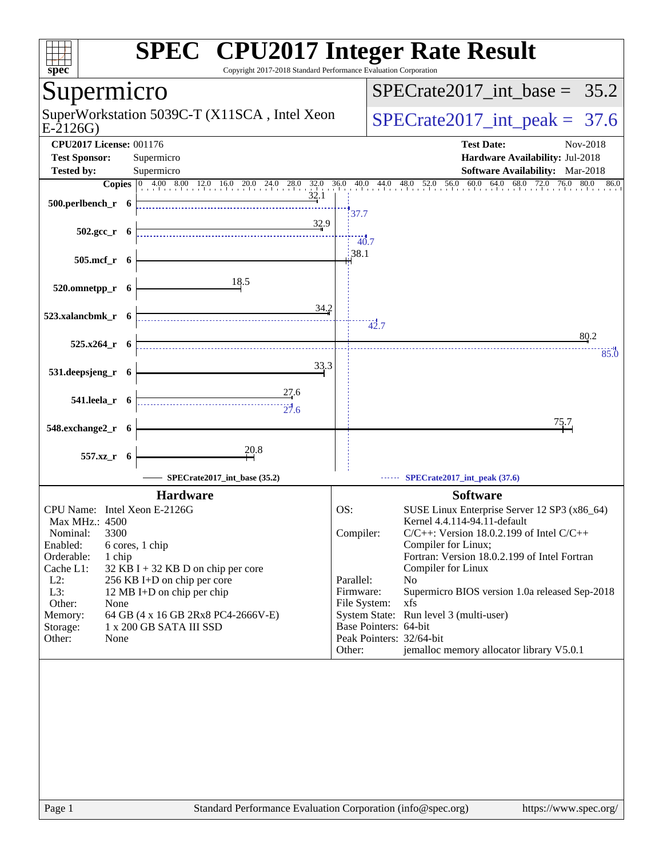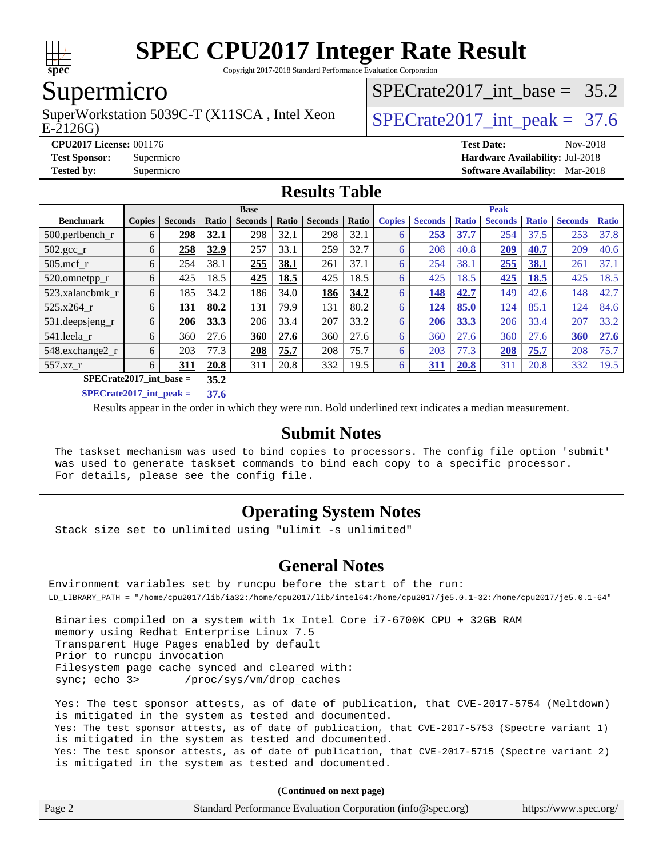

Copyright 2017-2018 Standard Performance Evaluation Corporation

### Supermicro

E-2126G) SuperWorkstation 5039C-T (X11SCA, Intel Xeon  $\big|$  SPECrate2017 int peak = 37.6

SPECrate2017 int\_base =  $35.2$ 

**[CPU2017 License:](http://www.spec.org/auto/cpu2017/Docs/result-fields.html#CPU2017License)** 001176 **[Test Date:](http://www.spec.org/auto/cpu2017/Docs/result-fields.html#TestDate)** Nov-2018

**[Test Sponsor:](http://www.spec.org/auto/cpu2017/Docs/result-fields.html#TestSponsor)** Supermicro **[Hardware Availability:](http://www.spec.org/auto/cpu2017/Docs/result-fields.html#HardwareAvailability)** Jul-2018

**[Tested by:](http://www.spec.org/auto/cpu2017/Docs/result-fields.html#Testedby)** Supermicro **[Software Availability:](http://www.spec.org/auto/cpu2017/Docs/result-fields.html#SoftwareAvailability)** Mar-2018

#### **[Results Table](http://www.spec.org/auto/cpu2017/Docs/result-fields.html#ResultsTable)**

|                               | <b>Base</b>   |                |       |                |       |                |       | <b>Peak</b>   |                |              |                  |              |                |              |
|-------------------------------|---------------|----------------|-------|----------------|-------|----------------|-------|---------------|----------------|--------------|------------------|--------------|----------------|--------------|
| <b>Benchmark</b>              | <b>Copies</b> | <b>Seconds</b> | Ratio | <b>Seconds</b> | Ratio | <b>Seconds</b> | Ratio | <b>Copies</b> | <b>Seconds</b> | <b>Ratio</b> | <b>Seconds</b>   | <b>Ratio</b> | <b>Seconds</b> | <b>Ratio</b> |
| $500$ .perlbench r            | 6             | 298            | 32.1  | 298            | 32.1  | 298            | 32.1  | 6             | 253            | 37.7         | 254              | 37.5         | 253            | 37.8         |
| $502.\text{sec}$ <sub>r</sub> | 6             | 258            | 32.9  | 257            | 33.1  | 259            | 32.7  | 6             | 208            | 40.8         | $\overline{209}$ | 40.7         | 209            | 40.6         |
| $505$ .mcf r                  | 6             | 254            | 38.1  | 255            | 38.1  | 261            | 37.1  | 6             | 254            | 38.1         | 255              | 38.1         | 261            | 37.1         |
| 520.omnetpp_r                 | 6             | 425            | 18.5  | 425            | 18.5  | 425            | 18.5  | 6             | 425            | 18.5         | 425              | 18.5         | 425            | 18.5         |
| 523.xalancbmk r               | 6             | 185            | 34.2  | 186            | 34.0  | 186            | 34.2  | 6             | 148            | 42.7         | 149              | 42.6         | 148            | 42.7         |
| 525.x264 r                    | 6             | 131            | 80.2  | 131            | 79.9  | 131            | 80.2  | 6             | 124            | 85.0         | 124              | 85.1         | 124            | 84.6         |
| 531.deepsjeng_r               | 6             | 206            | 33.3  | 206            | 33.4  | 207            | 33.2  | 6             | 206            | 33.3         | 206              | 33.4         | 207            | 33.2         |
| 541.leela r                   | 6             | 360            | 27.6  | 360            | 27.6  | 360            | 27.6  | 6             | 360            | 27.6         | 360              | 27.6         | 360            | 27.6         |
| 548.exchange2_r               | 6             | 203            | 77.3  | 208            | 75.7  | 208            | 75.7  | 6             | 203            | 77.3         | 208              | 75.7         | 208            | 75.7         |
| 557.xz r                      | 6             | 311            | 20.8  | 311            | 20.8  | 332            | 19.5  | 6             | 311            | 20.8         | 311              | 20.8         | 332            | 19.5         |
| $SPECrate2017$ int base =     |               |                | 35.2  |                |       |                |       |               |                |              |                  |              |                |              |
| $CDP2Q \rightarrow A04H + I$  |               |                | $- -$ |                |       |                |       |               |                |              |                  |              |                |              |

**[SPECrate2017\\_int\\_peak =](http://www.spec.org/auto/cpu2017/Docs/result-fields.html#SPECrate2017intpeak) 37.6**

Results appear in the [order in which they were run](http://www.spec.org/auto/cpu2017/Docs/result-fields.html#RunOrder). Bold underlined text [indicates a median measurement](http://www.spec.org/auto/cpu2017/Docs/result-fields.html#Median).

#### **[Submit Notes](http://www.spec.org/auto/cpu2017/Docs/result-fields.html#SubmitNotes)**

 The taskset mechanism was used to bind copies to processors. The config file option 'submit' was used to generate taskset commands to bind each copy to a specific processor. For details, please see the config file.

#### **[Operating System Notes](http://www.spec.org/auto/cpu2017/Docs/result-fields.html#OperatingSystemNotes)**

Stack size set to unlimited using "ulimit -s unlimited"

#### **[General Notes](http://www.spec.org/auto/cpu2017/Docs/result-fields.html#GeneralNotes)**

Environment variables set by runcpu before the start of the run: LD\_LIBRARY\_PATH = "/home/cpu2017/lib/ia32:/home/cpu2017/lib/intel64:/home/cpu2017/je5.0.1-32:/home/cpu2017/je5.0.1-64"

 Binaries compiled on a system with 1x Intel Core i7-6700K CPU + 32GB RAM memory using Redhat Enterprise Linux 7.5 Transparent Huge Pages enabled by default Prior to runcpu invocation Filesystem page cache synced and cleared with: sync; echo 3> /proc/sys/vm/drop\_caches

 Yes: The test sponsor attests, as of date of publication, that CVE-2017-5754 (Meltdown) is mitigated in the system as tested and documented. Yes: The test sponsor attests, as of date of publication, that CVE-2017-5753 (Spectre variant 1) is mitigated in the system as tested and documented. Yes: The test sponsor attests, as of date of publication, that CVE-2017-5715 (Spectre variant 2) is mitigated in the system as tested and documented.

**(Continued on next page)**

| Page 2 | Standard Performance Evaluation Corporation (info@spec.org) | https://www.spec.org/ |
|--------|-------------------------------------------------------------|-----------------------|
|--------|-------------------------------------------------------------|-----------------------|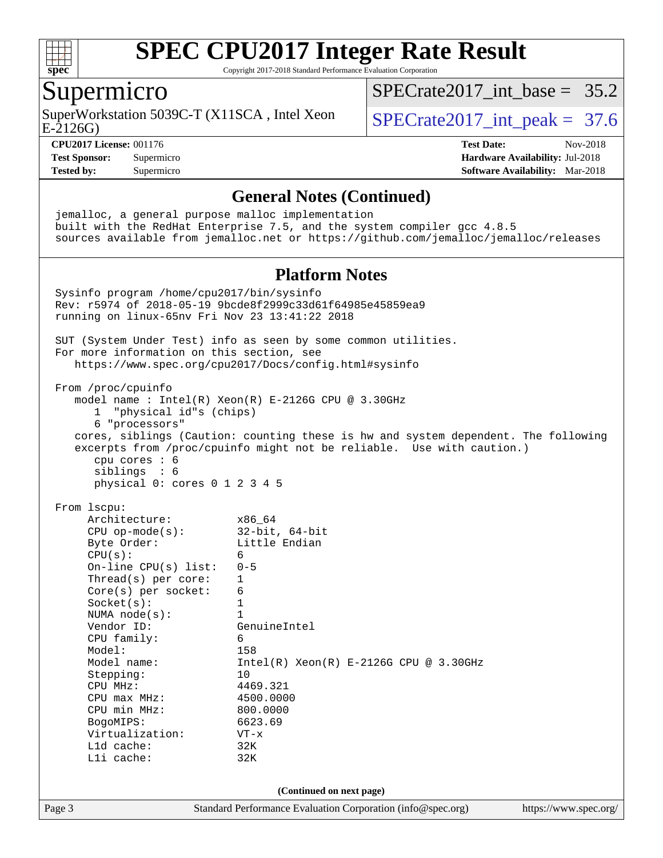

Copyright 2017-2018 Standard Performance Evaluation Corporation

#### Supermicro

E-2126G) SuperWorkstation 5039C-T (X11SCA, Intel Xeon  $\big|$  SPECrate2017 int peak = 37.6

SPECrate2017 int\_base =  $35.2$ 

**[CPU2017 License:](http://www.spec.org/auto/cpu2017/Docs/result-fields.html#CPU2017License)** 001176 **[Test Date:](http://www.spec.org/auto/cpu2017/Docs/result-fields.html#TestDate)** Nov-2018 **[Test Sponsor:](http://www.spec.org/auto/cpu2017/Docs/result-fields.html#TestSponsor)** Supermicro **[Hardware Availability:](http://www.spec.org/auto/cpu2017/Docs/result-fields.html#HardwareAvailability)** Jul-2018 **[Tested by:](http://www.spec.org/auto/cpu2017/Docs/result-fields.html#Testedby)** Supermicro **[Software Availability:](http://www.spec.org/auto/cpu2017/Docs/result-fields.html#SoftwareAvailability)** Mar-2018

#### **[General Notes \(Continued\)](http://www.spec.org/auto/cpu2017/Docs/result-fields.html#GeneralNotes)**

Page 3 Standard Performance Evaluation Corporation [\(info@spec.org\)](mailto:info@spec.org) <https://www.spec.org/> jemalloc, a general purpose malloc implementation built with the RedHat Enterprise 7.5, and the system compiler gcc 4.8.5 sources available from jemalloc.net or <https://github.com/jemalloc/jemalloc/releases> **[Platform Notes](http://www.spec.org/auto/cpu2017/Docs/result-fields.html#PlatformNotes)** Sysinfo program /home/cpu2017/bin/sysinfo Rev: r5974 of 2018-05-19 9bcde8f2999c33d61f64985e45859ea9 running on linux-65nv Fri Nov 23 13:41:22 2018 SUT (System Under Test) info as seen by some common utilities. For more information on this section, see <https://www.spec.org/cpu2017/Docs/config.html#sysinfo> From /proc/cpuinfo model name : Intel(R) Xeon(R) E-2126G CPU @ 3.30GHz 1 "physical id"s (chips) 6 "processors" cores, siblings (Caution: counting these is hw and system dependent. The following excerpts from /proc/cpuinfo might not be reliable. Use with caution.) cpu cores : 6 siblings : 6 physical 0: cores 0 1 2 3 4 5 From lscpu: Architecture: x86\_64 CPU op-mode(s): 32-bit, 64-bit Byte Order: Little Endian  $CPU(s):$  6 On-line CPU(s) list: 0-5 Thread(s) per core: 1 Core(s) per socket: 6 Socket(s): 1 NUMA node(s): 1<br>Vendor ID: Ge GenuineIntel CPU family: 6 Model: 158 Model name: Intel(R) Xeon(R) E-2126G CPU @ 3.30GHz Stepping: 10 CPU MHz: 4469.321 CPU max MHz: 4500.0000<br>
CPU min MHz: 800.0000 CPU min MHz: BogoMIPS: 6623.69 Virtualization: VT-x L1d cache: 32K L1i cache: 32K **(Continued on next page)**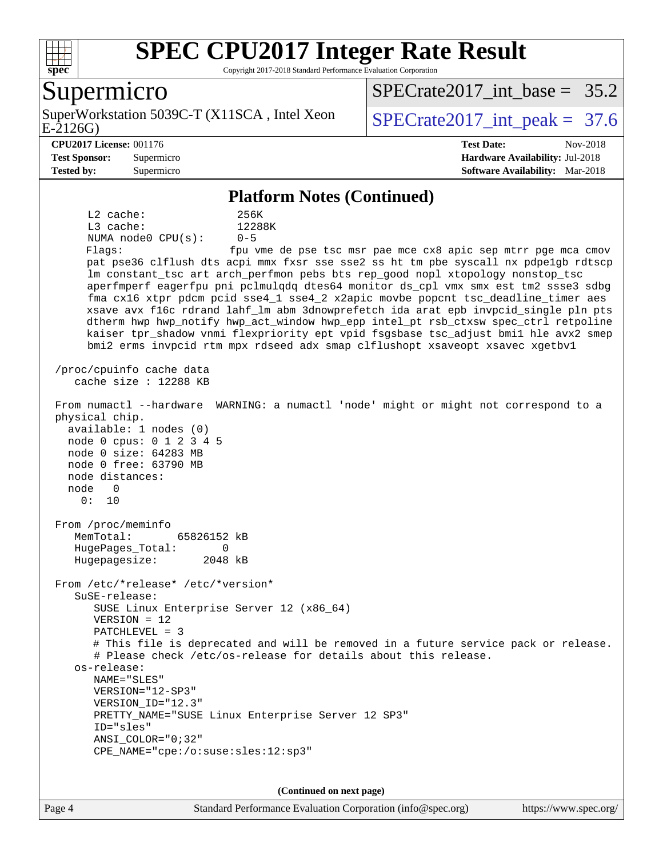

Copyright 2017-2018 Standard Performance Evaluation Corporation

#### Supermicro

E-2126G) SuperWorkstation 5039C-T (X11SCA, Intel Xeon  $\big|$  SPECrate2017 int peak = 37.6

SPECrate2017 int\_base =  $35.2$ 

#### **[CPU2017 License:](http://www.spec.org/auto/cpu2017/Docs/result-fields.html#CPU2017License)** 001176 **[Test Date:](http://www.spec.org/auto/cpu2017/Docs/result-fields.html#TestDate)** Nov-2018

**[Test Sponsor:](http://www.spec.org/auto/cpu2017/Docs/result-fields.html#TestSponsor)** Supermicro **[Hardware Availability:](http://www.spec.org/auto/cpu2017/Docs/result-fields.html#HardwareAvailability)** Jul-2018 **[Tested by:](http://www.spec.org/auto/cpu2017/Docs/result-fields.html#Testedby)** Supermicro **[Software Availability:](http://www.spec.org/auto/cpu2017/Docs/result-fields.html#SoftwareAvailability)** Mar-2018

#### **[Platform Notes \(Continued\)](http://www.spec.org/auto/cpu2017/Docs/result-fields.html#PlatformNotes)**

 L2 cache: 256K L3 cache: 12288K NUMA node0 CPU(s): 0-5 Flags: fpu vme de pse tsc msr pae mce cx8 apic sep mtrr pge mca cmov pat pse36 clflush dts acpi mmx fxsr sse sse2 ss ht tm pbe syscall nx pdpe1gb rdtscp lm constant\_tsc art arch\_perfmon pebs bts rep\_good nopl xtopology nonstop\_tsc aperfmperf eagerfpu pni pclmulqdq dtes64 monitor ds\_cpl vmx smx est tm2 ssse3 sdbg fma cx16 xtpr pdcm pcid sse4\_1 sse4\_2 x2apic movbe popcnt tsc\_deadline\_timer aes xsave avx f16c rdrand lahf\_lm abm 3dnowprefetch ida arat epb invpcid\_single pln pts dtherm hwp hwp\_notify hwp\_act\_window hwp\_epp intel\_pt rsb\_ctxsw spec\_ctrl retpoline kaiser tpr\_shadow vnmi flexpriority ept vpid fsgsbase tsc\_adjust bmi1 hle avx2 smep bmi2 erms invpcid rtm mpx rdseed adx smap clflushopt xsaveopt xsavec xgetbv1 /proc/cpuinfo cache data cache size : 12288 KB From numactl --hardware WARNING: a numactl 'node' might or might not correspond to a physical chip. available: 1 nodes (0) node 0 cpus: 0 1 2 3 4 5 node 0 size: 64283 MB node 0 free: 63790 MB node distances: node 0 0: 10 From /proc/meminfo MemTotal: 65826152 kB HugePages\_Total: 0 Hugepagesize: 2048 kB From /etc/\*release\* /etc/\*version\* SuSE-release: SUSE Linux Enterprise Server 12 (x86\_64) VERSION = 12 PATCHLEVEL = 3 # This file is deprecated and will be removed in a future service pack or release. # Please check /etc/os-release for details about this release. os-release: NAME="SLES" VERSION="12-SP3" VERSION\_ID="12.3" PRETTY\_NAME="SUSE Linux Enterprise Server 12 SP3" ID="sles" ANSI\_COLOR="0;32" CPE\_NAME="cpe:/o:suse:sles:12:sp3"

**(Continued on next page)**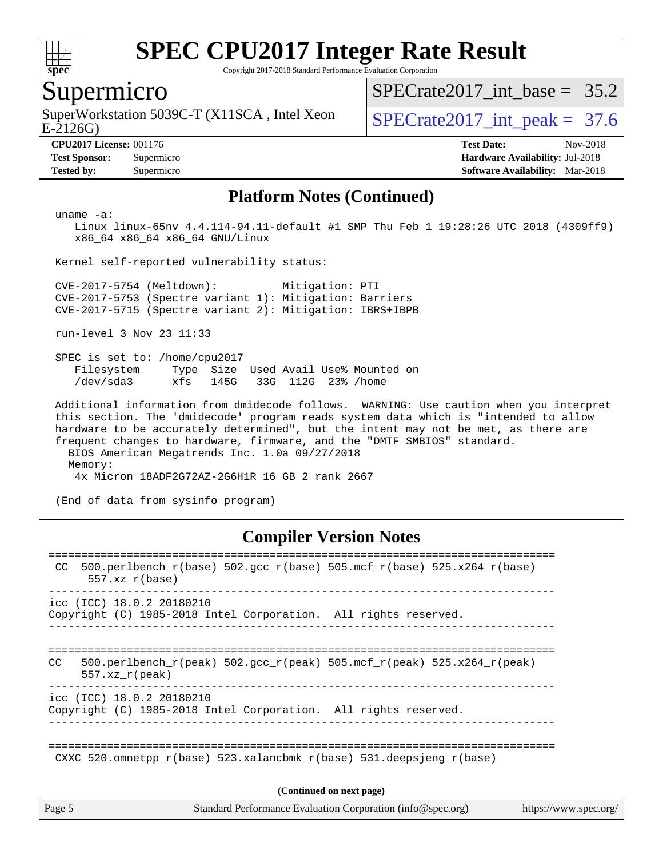

Copyright 2017-2018 Standard Performance Evaluation Corporation

#### Supermicro

E-2126G) SuperWorkstation 5039C-T (X11SCA, Intel Xeon  $\vert$  SPECrate2017 int peak = 37.6

SPECrate2017 int\_base =  $35.2$ 

**[CPU2017 License:](http://www.spec.org/auto/cpu2017/Docs/result-fields.html#CPU2017License)** 001176 **[Test Date:](http://www.spec.org/auto/cpu2017/Docs/result-fields.html#TestDate)** Nov-2018 **[Test Sponsor:](http://www.spec.org/auto/cpu2017/Docs/result-fields.html#TestSponsor)** Supermicro **[Hardware Availability:](http://www.spec.org/auto/cpu2017/Docs/result-fields.html#HardwareAvailability)** Jul-2018 **[Tested by:](http://www.spec.org/auto/cpu2017/Docs/result-fields.html#Testedby)** Supermicro **[Software Availability:](http://www.spec.org/auto/cpu2017/Docs/result-fields.html#SoftwareAvailability)** Mar-2018

#### **[Platform Notes \(Continued\)](http://www.spec.org/auto/cpu2017/Docs/result-fields.html#PlatformNotes)**

uname -a:

 Linux linux-65nv 4.4.114-94.11-default #1 SMP Thu Feb 1 19:28:26 UTC 2018 (4309ff9) x86\_64 x86\_64 x86\_64 GNU/Linux

Kernel self-reported vulnerability status:

 CVE-2017-5754 (Meltdown): Mitigation: PTI CVE-2017-5753 (Spectre variant 1): Mitigation: Barriers CVE-2017-5715 (Spectre variant 2): Mitigation: IBRS+IBPB

run-level 3 Nov 23 11:33

 SPEC is set to: /home/cpu2017 Filesystem Type Size Used Avail Use% Mounted on /dev/sda3 xfs 145G 33G 112G 23% /home

 Additional information from dmidecode follows. WARNING: Use caution when you interpret this section. The 'dmidecode' program reads system data which is "intended to allow hardware to be accurately determined", but the intent may not be met, as there are frequent changes to hardware, firmware, and the "DMTF SMBIOS" standard. BIOS American Megatrends Inc. 1.0a 09/27/2018

Memory:

4x Micron 18ADF2G72AZ-2G6H1R 16 GB 2 rank 2667

(End of data from sysinfo program)

#### **[Compiler Version Notes](http://www.spec.org/auto/cpu2017/Docs/result-fields.html#CompilerVersionNotes)**

| Page 5 |                           | Standard Performance Evaluation Corporation (info@spec.org)                | https://www.spec.org/ |
|--------|---------------------------|----------------------------------------------------------------------------|-----------------------|
|        |                           | (Continued on next page)                                                   |                       |
|        |                           | CXXC 520.omnetpp $r(base)$ 523.xalancbmk $r(base)$ 531.deepsjeng $r(base)$ |                       |
|        | icc (ICC) 18.0.2 20180210 | Copyright (C) 1985-2018 Intel Corporation. All rights reserved.            |                       |
| CC.    | $557.xx$ r(peak)          | 500.perlbench r(peak) 502.qcc r(peak) 505.mcf r(peak) 525.x264 r(peak)     |                       |
|        | icc (ICC) 18.0.2 20180210 | Copyright (C) 1985-2018 Intel Corporation. All rights reserved.            |                       |
| CC.    | $557.xx$ $r(base)$        | 500.perlbench_r(base) 502.gcc_r(base) 505.mcf_r(base) 525.x264_r(base)     |                       |
|        |                           |                                                                            |                       |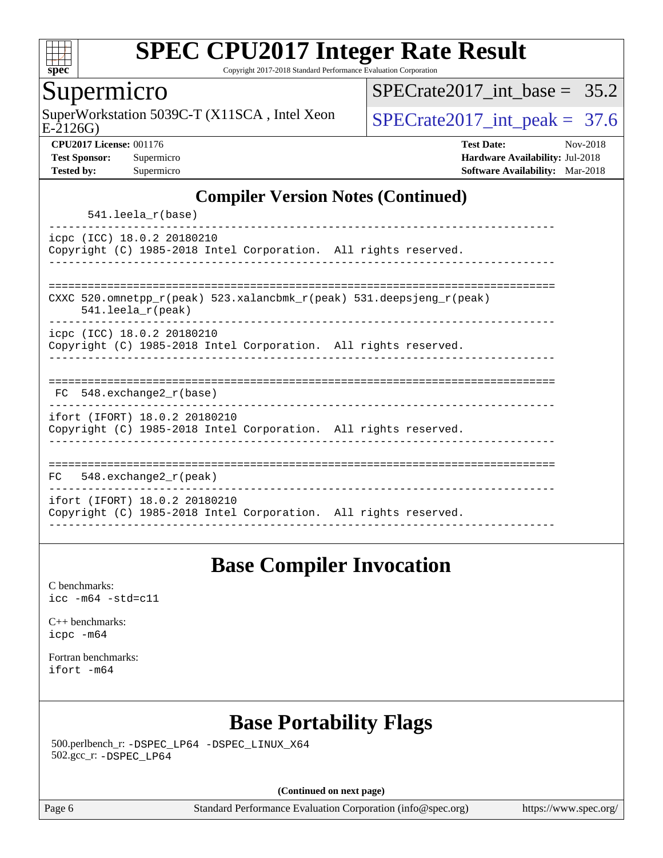

Copyright 2017-2018 Standard Performance Evaluation Corporation

#### Supermicro

SuperWorkstation 5039C-T (X11SCA, Intel Xeon<br>E-2126G)

SPECrate2017 int\_base =  $35.2$ 

SPECrate  $2017$  int peak = 37.6

**[CPU2017 License:](http://www.spec.org/auto/cpu2017/Docs/result-fields.html#CPU2017License)** 001176 **[Test Date:](http://www.spec.org/auto/cpu2017/Docs/result-fields.html#TestDate)** Nov-2018 **[Test Sponsor:](http://www.spec.org/auto/cpu2017/Docs/result-fields.html#TestSponsor)** Supermicro **[Hardware Availability:](http://www.spec.org/auto/cpu2017/Docs/result-fields.html#HardwareAvailability)** Jul-2018 **[Tested by:](http://www.spec.org/auto/cpu2017/Docs/result-fields.html#Testedby)** Supermicro **[Software Availability:](http://www.spec.org/auto/cpu2017/Docs/result-fields.html#SoftwareAvailability)** Mar-2018

#### **[Compiler Version Notes \(Continued\)](http://www.spec.org/auto/cpu2017/Docs/result-fields.html#CompilerVersionNotes)**

541.leela\_r(base)

----------------------------------------------------------------------------- icpc (ICC) 18.0.2 20180210 Copyright (C) 1985-2018 Intel Corporation. All rights reserved. ------------------------------------------------------------------------------

============================================================================== CXXC 520.omnetpp\_r(peak) 523.xalancbmk\_r(peak) 531.deepsjeng\_r(peak)

541.leela\_r(peak)

----------------------------------------------------------------------------- icpc (ICC) 18.0.2 20180210

Copyright (C) 1985-2018 Intel Corporation. All rights reserved. ------------------------------------------------------------------------------

| 耳ぺ | 548.exchange2 r(base) |  |  |  |  |
|----|-----------------------|--|--|--|--|

------------------------------------------------------------------------------

ifort (IFORT) 18.0.2 20180210 Copyright (C) 1985-2018 Intel Corporation. All rights reserved. ------------------------------------------------------------------------------

============================================================================== FC 548.exchange2\_r(peak) ----------------------------------------------------------------------------- ifort (IFORT) 18.0.2 20180210 Copyright (C) 1985-2018 Intel Corporation. All rights reserved. ------------------------------------------------------------------------------

### **[Base Compiler Invocation](http://www.spec.org/auto/cpu2017/Docs/result-fields.html#BaseCompilerInvocation)**

[C benchmarks](http://www.spec.org/auto/cpu2017/Docs/result-fields.html#Cbenchmarks): [icc -m64 -std=c11](http://www.spec.org/cpu2017/results/res2018q4/cpu2017-20181127-09961.flags.html#user_CCbase_intel_icc_64bit_c11_33ee0cdaae7deeeab2a9725423ba97205ce30f63b9926c2519791662299b76a0318f32ddfffdc46587804de3178b4f9328c46fa7c2b0cd779d7a61945c91cd35)

[C++ benchmarks:](http://www.spec.org/auto/cpu2017/Docs/result-fields.html#CXXbenchmarks) [icpc -m64](http://www.spec.org/cpu2017/results/res2018q4/cpu2017-20181127-09961.flags.html#user_CXXbase_intel_icpc_64bit_4ecb2543ae3f1412ef961e0650ca070fec7b7afdcd6ed48761b84423119d1bf6bdf5cad15b44d48e7256388bc77273b966e5eb805aefd121eb22e9299b2ec9d9)

[Fortran benchmarks](http://www.spec.org/auto/cpu2017/Docs/result-fields.html#Fortranbenchmarks): [ifort -m64](http://www.spec.org/cpu2017/results/res2018q4/cpu2017-20181127-09961.flags.html#user_FCbase_intel_ifort_64bit_24f2bb282fbaeffd6157abe4f878425411749daecae9a33200eee2bee2fe76f3b89351d69a8130dd5949958ce389cf37ff59a95e7a40d588e8d3a57e0c3fd751)

### **[Base Portability Flags](http://www.spec.org/auto/cpu2017/Docs/result-fields.html#BasePortabilityFlags)**

 500.perlbench\_r: [-DSPEC\\_LP64](http://www.spec.org/cpu2017/results/res2018q4/cpu2017-20181127-09961.flags.html#b500.perlbench_r_basePORTABILITY_DSPEC_LP64) [-DSPEC\\_LINUX\\_X64](http://www.spec.org/cpu2017/results/res2018q4/cpu2017-20181127-09961.flags.html#b500.perlbench_r_baseCPORTABILITY_DSPEC_LINUX_X64) 502.gcc\_r: [-DSPEC\\_LP64](http://www.spec.org/cpu2017/results/res2018q4/cpu2017-20181127-09961.flags.html#suite_basePORTABILITY502_gcc_r_DSPEC_LP64)

**(Continued on next page)**

Page 6 Standard Performance Evaluation Corporation [\(info@spec.org\)](mailto:info@spec.org) <https://www.spec.org/>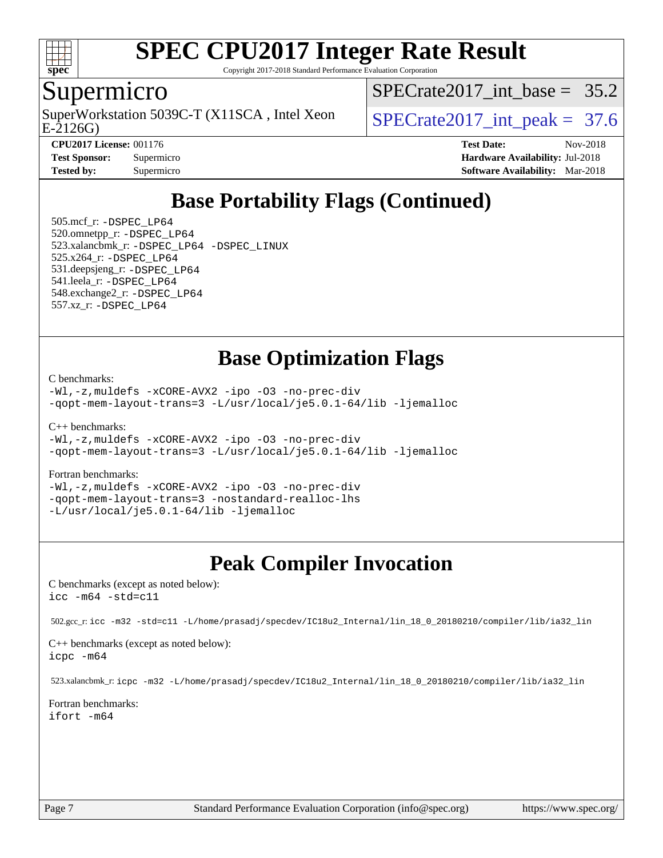

Copyright 2017-2018 Standard Performance Evaluation Corporation

### Supermicro

E-2126G) SuperWorkstation 5039C-T (X11SCA, Intel Xeon  $\vert$  SPECrate2017 int peak = 37.6

SPECrate2017 int\_base =  $35.2$ 

| <b>Test Sponsor:</b> | Supermi |
|----------------------|---------|
| <b>Tested by:</b>    | Supermi |

**[CPU2017 License:](http://www.spec.org/auto/cpu2017/Docs/result-fields.html#CPU2017License)** 001176 **[Test Date:](http://www.spec.org/auto/cpu2017/Docs/result-fields.html#TestDate)** Nov-2018 **[Test Sponsor:](http://www.spec.org/auto/cpu2017/Docs/result-fields.html#TestSponsor)** Supermicro **[Hardware Availability:](http://www.spec.org/auto/cpu2017/Docs/result-fields.html#HardwareAvailability)** Jul-2018 **[Tested by:](http://www.spec.org/auto/cpu2017/Docs/result-fields.html#Testedby)** Supermicroscopy [Software Availability:](http://www.spec.org/auto/cpu2017/Docs/result-fields.html#SoftwareAvailability) Mar-2018

## **[Base Portability Flags \(Continued\)](http://www.spec.org/auto/cpu2017/Docs/result-fields.html#BasePortabilityFlags)**

 505.mcf\_r: [-DSPEC\\_LP64](http://www.spec.org/cpu2017/results/res2018q4/cpu2017-20181127-09961.flags.html#suite_basePORTABILITY505_mcf_r_DSPEC_LP64) 520.omnetpp\_r: [-DSPEC\\_LP64](http://www.spec.org/cpu2017/results/res2018q4/cpu2017-20181127-09961.flags.html#suite_basePORTABILITY520_omnetpp_r_DSPEC_LP64) 523.xalancbmk\_r: [-DSPEC\\_LP64](http://www.spec.org/cpu2017/results/res2018q4/cpu2017-20181127-09961.flags.html#suite_basePORTABILITY523_xalancbmk_r_DSPEC_LP64) [-DSPEC\\_LINUX](http://www.spec.org/cpu2017/results/res2018q4/cpu2017-20181127-09961.flags.html#b523.xalancbmk_r_baseCXXPORTABILITY_DSPEC_LINUX) 525.x264\_r: [-DSPEC\\_LP64](http://www.spec.org/cpu2017/results/res2018q4/cpu2017-20181127-09961.flags.html#suite_basePORTABILITY525_x264_r_DSPEC_LP64) 531.deepsjeng\_r: [-DSPEC\\_LP64](http://www.spec.org/cpu2017/results/res2018q4/cpu2017-20181127-09961.flags.html#suite_basePORTABILITY531_deepsjeng_r_DSPEC_LP64) 541.leela\_r: [-DSPEC\\_LP64](http://www.spec.org/cpu2017/results/res2018q4/cpu2017-20181127-09961.flags.html#suite_basePORTABILITY541_leela_r_DSPEC_LP64) 548.exchange2\_r: [-DSPEC\\_LP64](http://www.spec.org/cpu2017/results/res2018q4/cpu2017-20181127-09961.flags.html#suite_basePORTABILITY548_exchange2_r_DSPEC_LP64) 557.xz\_r: [-DSPEC\\_LP64](http://www.spec.org/cpu2017/results/res2018q4/cpu2017-20181127-09961.flags.html#suite_basePORTABILITY557_xz_r_DSPEC_LP64)

### **[Base Optimization Flags](http://www.spec.org/auto/cpu2017/Docs/result-fields.html#BaseOptimizationFlags)**

[C benchmarks](http://www.spec.org/auto/cpu2017/Docs/result-fields.html#Cbenchmarks):

[-Wl,-z,muldefs](http://www.spec.org/cpu2017/results/res2018q4/cpu2017-20181127-09961.flags.html#user_CCbase_link_force_multiple1_b4cbdb97b34bdee9ceefcfe54f4c8ea74255f0b02a4b23e853cdb0e18eb4525ac79b5a88067c842dd0ee6996c24547a27a4b99331201badda8798ef8a743f577) [-xCORE-AVX2](http://www.spec.org/cpu2017/results/res2018q4/cpu2017-20181127-09961.flags.html#user_CCbase_f-xCORE-AVX2) [-ipo](http://www.spec.org/cpu2017/results/res2018q4/cpu2017-20181127-09961.flags.html#user_CCbase_f-ipo) [-O3](http://www.spec.org/cpu2017/results/res2018q4/cpu2017-20181127-09961.flags.html#user_CCbase_f-O3) [-no-prec-div](http://www.spec.org/cpu2017/results/res2018q4/cpu2017-20181127-09961.flags.html#user_CCbase_f-no-prec-div) [-qopt-mem-layout-trans=3](http://www.spec.org/cpu2017/results/res2018q4/cpu2017-20181127-09961.flags.html#user_CCbase_f-qopt-mem-layout-trans_de80db37974c74b1f0e20d883f0b675c88c3b01e9d123adea9b28688d64333345fb62bc4a798493513fdb68f60282f9a726aa07f478b2f7113531aecce732043) [-L/usr/local/je5.0.1-64/lib](http://www.spec.org/cpu2017/results/res2018q4/cpu2017-20181127-09961.flags.html#user_CCbase_jemalloc_link_path64_4b10a636b7bce113509b17f3bd0d6226c5fb2346b9178c2d0232c14f04ab830f976640479e5c33dc2bcbbdad86ecfb6634cbbd4418746f06f368b512fced5394) [-ljemalloc](http://www.spec.org/cpu2017/results/res2018q4/cpu2017-20181127-09961.flags.html#user_CCbase_jemalloc_link_lib_d1249b907c500fa1c0672f44f562e3d0f79738ae9e3c4a9c376d49f265a04b9c99b167ecedbf6711b3085be911c67ff61f150a17b3472be731631ba4d0471706)

[C++ benchmarks:](http://www.spec.org/auto/cpu2017/Docs/result-fields.html#CXXbenchmarks)

```
-Wl,-z,muldefs -xCORE-AVX2 -ipo -O3 -no-prec-div
-qopt-mem-layout-trans=3 -L/usr/local/je5.0.1-64/lib -ljemalloc
```
#### [Fortran benchmarks](http://www.spec.org/auto/cpu2017/Docs/result-fields.html#Fortranbenchmarks):

[-Wl,-z,muldefs](http://www.spec.org/cpu2017/results/res2018q4/cpu2017-20181127-09961.flags.html#user_FCbase_link_force_multiple1_b4cbdb97b34bdee9ceefcfe54f4c8ea74255f0b02a4b23e853cdb0e18eb4525ac79b5a88067c842dd0ee6996c24547a27a4b99331201badda8798ef8a743f577) [-xCORE-AVX2](http://www.spec.org/cpu2017/results/res2018q4/cpu2017-20181127-09961.flags.html#user_FCbase_f-xCORE-AVX2) [-ipo](http://www.spec.org/cpu2017/results/res2018q4/cpu2017-20181127-09961.flags.html#user_FCbase_f-ipo) [-O3](http://www.spec.org/cpu2017/results/res2018q4/cpu2017-20181127-09961.flags.html#user_FCbase_f-O3) [-no-prec-div](http://www.spec.org/cpu2017/results/res2018q4/cpu2017-20181127-09961.flags.html#user_FCbase_f-no-prec-div) [-qopt-mem-layout-trans=3](http://www.spec.org/cpu2017/results/res2018q4/cpu2017-20181127-09961.flags.html#user_FCbase_f-qopt-mem-layout-trans_de80db37974c74b1f0e20d883f0b675c88c3b01e9d123adea9b28688d64333345fb62bc4a798493513fdb68f60282f9a726aa07f478b2f7113531aecce732043) [-nostandard-realloc-lhs](http://www.spec.org/cpu2017/results/res2018q4/cpu2017-20181127-09961.flags.html#user_FCbase_f_2003_std_realloc_82b4557e90729c0f113870c07e44d33d6f5a304b4f63d4c15d2d0f1fab99f5daaed73bdb9275d9ae411527f28b936061aa8b9c8f2d63842963b95c9dd6426b8a) [-L/usr/local/je5.0.1-64/lib](http://www.spec.org/cpu2017/results/res2018q4/cpu2017-20181127-09961.flags.html#user_FCbase_jemalloc_link_path64_4b10a636b7bce113509b17f3bd0d6226c5fb2346b9178c2d0232c14f04ab830f976640479e5c33dc2bcbbdad86ecfb6634cbbd4418746f06f368b512fced5394) [-ljemalloc](http://www.spec.org/cpu2017/results/res2018q4/cpu2017-20181127-09961.flags.html#user_FCbase_jemalloc_link_lib_d1249b907c500fa1c0672f44f562e3d0f79738ae9e3c4a9c376d49f265a04b9c99b167ecedbf6711b3085be911c67ff61f150a17b3472be731631ba4d0471706)

### **[Peak Compiler Invocation](http://www.spec.org/auto/cpu2017/Docs/result-fields.html#PeakCompilerInvocation)**

[C benchmarks \(except as noted below\)](http://www.spec.org/auto/cpu2017/Docs/result-fields.html#Cbenchmarksexceptasnotedbelow): [icc -m64 -std=c11](http://www.spec.org/cpu2017/results/res2018q4/cpu2017-20181127-09961.flags.html#user_CCpeak_intel_icc_64bit_c11_33ee0cdaae7deeeab2a9725423ba97205ce30f63b9926c2519791662299b76a0318f32ddfffdc46587804de3178b4f9328c46fa7c2b0cd779d7a61945c91cd35)

502.gcc\_r: [icc -m32 -std=c11 -L/home/prasadj/specdev/IC18u2\\_Internal/lin\\_18\\_0\\_20180210/compiler/lib/ia32\\_lin](http://www.spec.org/cpu2017/results/res2018q4/cpu2017-20181127-09961.flags.html#user_peakCCLD502_gcc_r_intel_icc_a481ac844e7127046fad14d498c730a1848fa901fbbb2c3dfdd5e9fbbac777c8009953946d55d8b6afe8ed0da70dd2b4f8dedbdf7ab1ee211ba70d24a5d89f85)

[C++ benchmarks \(except as noted below\):](http://www.spec.org/auto/cpu2017/Docs/result-fields.html#CXXbenchmarksexceptasnotedbelow) [icpc -m64](http://www.spec.org/cpu2017/results/res2018q4/cpu2017-20181127-09961.flags.html#user_CXXpeak_intel_icpc_64bit_4ecb2543ae3f1412ef961e0650ca070fec7b7afdcd6ed48761b84423119d1bf6bdf5cad15b44d48e7256388bc77273b966e5eb805aefd121eb22e9299b2ec9d9)

523.xalancbmk\_r: [icpc -m32 -L/home/prasadj/specdev/IC18u2\\_Internal/lin\\_18\\_0\\_20180210/compiler/lib/ia32\\_lin](http://www.spec.org/cpu2017/results/res2018q4/cpu2017-20181127-09961.flags.html#user_peakCXXLD523_xalancbmk_r_intel_icpc_c6d030cd79af6ea7d6fb64c57e8fe7ae8fe0b96fc5a3b3f4a10e3273b3d7fa9decd8263f6330cef23f751cb093a69fae84a2bf4c243500a8eed069248128076f)

[Fortran benchmarks](http://www.spec.org/auto/cpu2017/Docs/result-fields.html#Fortranbenchmarks): [ifort -m64](http://www.spec.org/cpu2017/results/res2018q4/cpu2017-20181127-09961.flags.html#user_FCpeak_intel_ifort_64bit_24f2bb282fbaeffd6157abe4f878425411749daecae9a33200eee2bee2fe76f3b89351d69a8130dd5949958ce389cf37ff59a95e7a40d588e8d3a57e0c3fd751)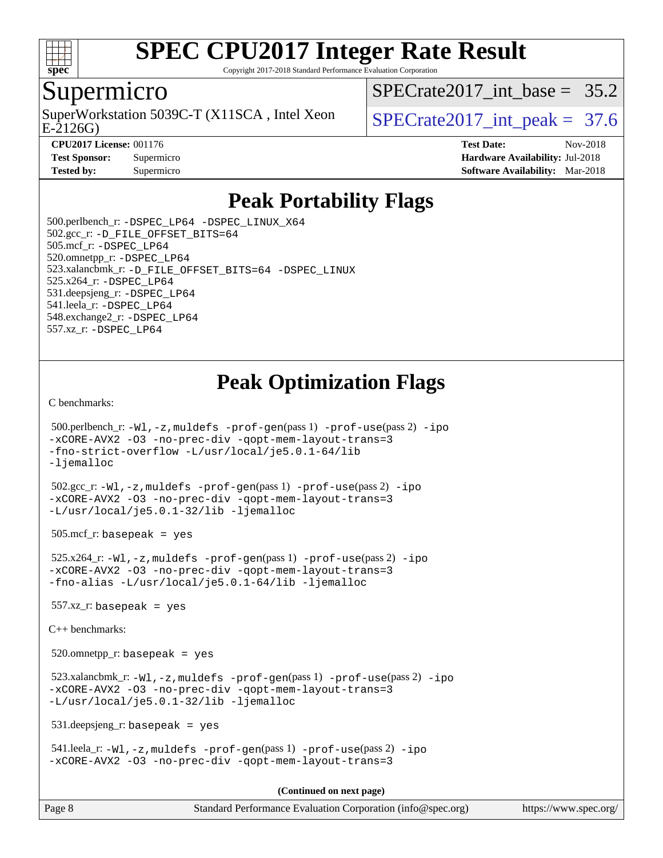

Copyright 2017-2018 Standard Performance Evaluation Corporation

#### Supermicro

SuperWorkstation 5039C-T (X11SCA, Intel Xeon  $\vert$  SPECrate2017 int peak = 37.6

SPECrate2017 int\_base =  $35.2$ 

E-2126G)

**[CPU2017 License:](http://www.spec.org/auto/cpu2017/Docs/result-fields.html#CPU2017License)** 001176 **[Test Date:](http://www.spec.org/auto/cpu2017/Docs/result-fields.html#TestDate)** Nov-2018 **[Test Sponsor:](http://www.spec.org/auto/cpu2017/Docs/result-fields.html#TestSponsor)** Supermicro **[Hardware Availability:](http://www.spec.org/auto/cpu2017/Docs/result-fields.html#HardwareAvailability)** Jul-2018 **[Tested by:](http://www.spec.org/auto/cpu2017/Docs/result-fields.html#Testedby)** Supermicro **Supermicro [Software Availability:](http://www.spec.org/auto/cpu2017/Docs/result-fields.html#SoftwareAvailability)** Mar-2018

### **[Peak Portability Flags](http://www.spec.org/auto/cpu2017/Docs/result-fields.html#PeakPortabilityFlags)**

 500.perlbench\_r: [-DSPEC\\_LP64](http://www.spec.org/cpu2017/results/res2018q4/cpu2017-20181127-09961.flags.html#b500.perlbench_r_peakPORTABILITY_DSPEC_LP64) [-DSPEC\\_LINUX\\_X64](http://www.spec.org/cpu2017/results/res2018q4/cpu2017-20181127-09961.flags.html#b500.perlbench_r_peakCPORTABILITY_DSPEC_LINUX_X64) 502.gcc\_r: [-D\\_FILE\\_OFFSET\\_BITS=64](http://www.spec.org/cpu2017/results/res2018q4/cpu2017-20181127-09961.flags.html#user_peakPORTABILITY502_gcc_r_file_offset_bits_64_5ae949a99b284ddf4e95728d47cb0843d81b2eb0e18bdfe74bbf0f61d0b064f4bda2f10ea5eb90e1dcab0e84dbc592acfc5018bc955c18609f94ddb8d550002c) 505.mcf\_r: [-DSPEC\\_LP64](http://www.spec.org/cpu2017/results/res2018q4/cpu2017-20181127-09961.flags.html#suite_peakPORTABILITY505_mcf_r_DSPEC_LP64) 520.omnetpp\_r: [-DSPEC\\_LP64](http://www.spec.org/cpu2017/results/res2018q4/cpu2017-20181127-09961.flags.html#suite_peakPORTABILITY520_omnetpp_r_DSPEC_LP64) 523.xalancbmk\_r: [-D\\_FILE\\_OFFSET\\_BITS=64](http://www.spec.org/cpu2017/results/res2018q4/cpu2017-20181127-09961.flags.html#user_peakPORTABILITY523_xalancbmk_r_file_offset_bits_64_5ae949a99b284ddf4e95728d47cb0843d81b2eb0e18bdfe74bbf0f61d0b064f4bda2f10ea5eb90e1dcab0e84dbc592acfc5018bc955c18609f94ddb8d550002c) [-DSPEC\\_LINUX](http://www.spec.org/cpu2017/results/res2018q4/cpu2017-20181127-09961.flags.html#b523.xalancbmk_r_peakCXXPORTABILITY_DSPEC_LINUX) 525.x264\_r: [-DSPEC\\_LP64](http://www.spec.org/cpu2017/results/res2018q4/cpu2017-20181127-09961.flags.html#suite_peakPORTABILITY525_x264_r_DSPEC_LP64) 531.deepsjeng\_r: [-DSPEC\\_LP64](http://www.spec.org/cpu2017/results/res2018q4/cpu2017-20181127-09961.flags.html#suite_peakPORTABILITY531_deepsjeng_r_DSPEC_LP64) 541.leela\_r: [-DSPEC\\_LP64](http://www.spec.org/cpu2017/results/res2018q4/cpu2017-20181127-09961.flags.html#suite_peakPORTABILITY541_leela_r_DSPEC_LP64) 548.exchange2\_r: [-DSPEC\\_LP64](http://www.spec.org/cpu2017/results/res2018q4/cpu2017-20181127-09961.flags.html#suite_peakPORTABILITY548_exchange2_r_DSPEC_LP64) 557.xz\_r: [-DSPEC\\_LP64](http://www.spec.org/cpu2017/results/res2018q4/cpu2017-20181127-09961.flags.html#suite_peakPORTABILITY557_xz_r_DSPEC_LP64)

### **[Peak Optimization Flags](http://www.spec.org/auto/cpu2017/Docs/result-fields.html#PeakOptimizationFlags)**

[C benchmarks](http://www.spec.org/auto/cpu2017/Docs/result-fields.html#Cbenchmarks):

```
 500.perlbench_r: -Wl,-z,muldefs -prof-gen(pass 1) -prof-use(pass 2) -ipo
-xCORE-AVX2 -O3 -no-prec-div -qopt-mem-layout-trans=3
-fno-strict-overflow -L/usr/local/je5.0.1-64/lib
-ljemalloc
 502.gcc_r: -Wl,-z,muldefs -prof-gen(pass 1) -prof-use(pass 2) -ipo
-xCORE-AVX2 -O3 -no-prec-div -qopt-mem-layout-trans=3
-L/usr/local/je5.0.1-32/lib -ljemalloc
505.\text{mcf}_r: basepeak = yes
 525.x264_r: -Wl,-z,muldefs -prof-gen(pass 1) -prof-use(pass 2) -ipo
-xCORE-AVX2 -O3 -no-prec-div -qopt-mem-layout-trans=3
-fno-alias -L/usr/local/je5.0.1-64/lib -ljemalloc
557.xz r: basepeak = yes
C++ benchmarks: 
 520.omnetpp_r: basepeak = yes
 523.xalancbmk_r: -Wl,-z,muldefs -prof-gen(pass 1) -prof-use(pass 2) -ipo
-xCORE-AVX2 -O3 -no-prec-div -qopt-mem-layout-trans=3
-L/usr/local/je5.0.1-32/lib -ljemalloc
 531.deepsjeng_r: basepeak = yes
 541.leela_r: -Wl,-z,muldefs -prof-gen(pass 1) -prof-use(pass 2) -ipo
-xCORE-AVX2 -O3 -no-prec-div -qopt-mem-layout-trans=3
                                       (Continued on next page)
```